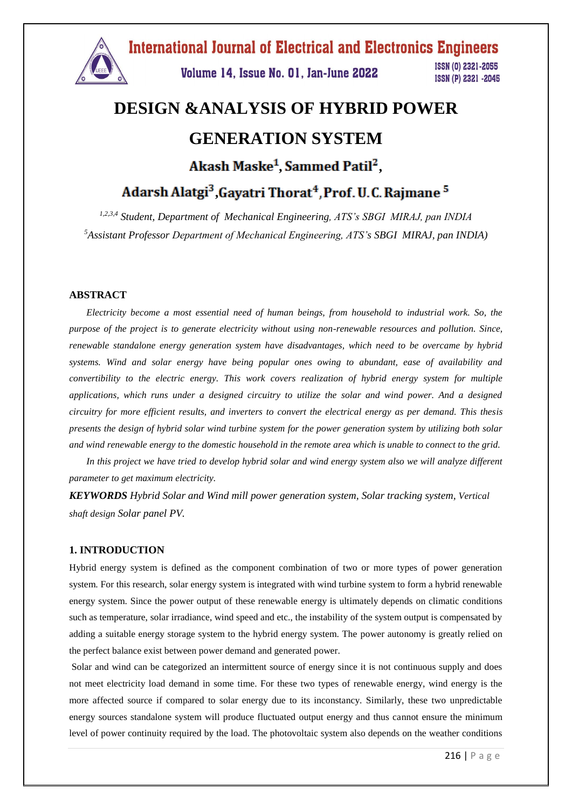

# **DESIGN &ANALYSIS OF HYBRID POWER GENERATION SYSTEM** Akash Maske<sup>1</sup>, Sammed Patil<sup>2</sup>,

Adarsh Alatgi<sup>3</sup>, Gayatri Thorat<sup>4</sup>, Prof. U.C. Rajmane<sup>5</sup>

*1,2,3,4 Student, Department of Mechanical Engineering, ATS's SBGI MIRAJ, pan INDIA <sup>5</sup>Assistant Professor Department of Mechanical Engineering, ATS's SBGI MIRAJ, pan INDIA)*

#### **ABSTRACT**

*Electricity become a most essential need of human beings, from household to industrial work. So, the purpose of the project is to generate electricity without using non-renewable resources and pollution. Since, renewable standalone energy generation system have disadvantages, which need to be overcame by hybrid systems. Wind and solar energy have being popular ones owing to abundant, ease of availability and convertibility to the electric energy. This work covers realization of hybrid energy system for multiple applications, which runs under a designed circuitry to utilize the solar and wind power. And a designed circuitry for more efficient results, and inverters to convert the electrical energy as per demand. This thesis presents the design of hybrid solar wind turbine system for the power generation system by utilizing both solar and wind renewable energy to the domestic household in the remote area which is unable to connect to the grid.*

*In this project we have tried to develop hybrid solar and wind energy system also we will analyze different parameter to get maximum electricity.* 

*KEYWORDS Hybrid Solar and Wind mill power generation system, Solar tracking system, Vertical shaft design Solar panel PV.*

#### **1. INTRODUCTION**

Hybrid energy system is defined as the component combination of two or more types of power generation system. For this research, solar energy system is integrated with wind turbine system to form a hybrid renewable energy system. Since the power output of these renewable energy is ultimately depends on climatic conditions such as temperature, solar irradiance, wind speed and etc., the instability of the system output is compensated by adding a suitable energy storage system to the hybrid energy system. The power autonomy is greatly relied on the perfect balance exist between power demand and generated power.

Solar and wind can be categorized an intermittent source of energy since it is not continuous supply and does not meet electricity load demand in some time. For these two types of renewable energy, wind energy is the more affected source if compared to solar energy due to its inconstancy. Similarly, these two unpredictable energy sources standalone system will produce fluctuated output energy and thus cannot ensure the minimum level of power continuity required by the load. The photovoltaic system also depends on the weather conditions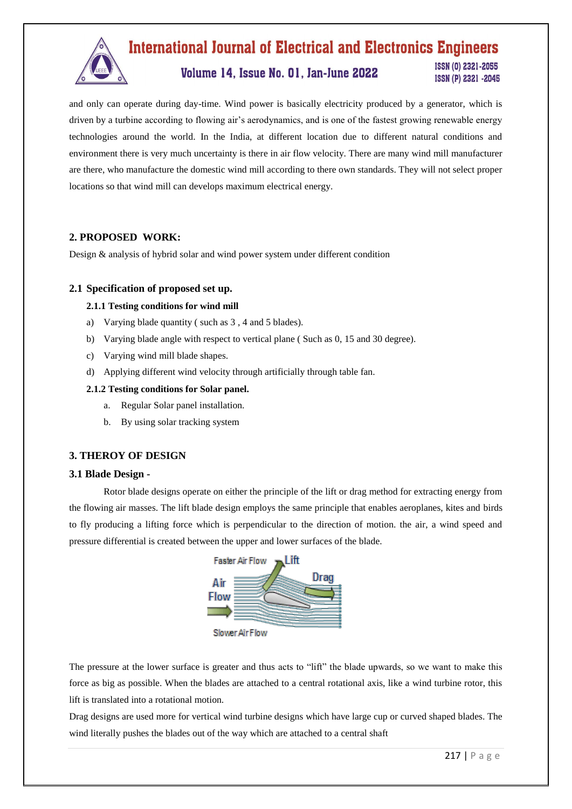

### **International Journal of Electrical and Electronics Engineers** ISSN (0) 2321-2055

### Volume 14, Issue No. 01, Jan-June 2022

ISSN (P) 2321 -2045

and only can operate during day-time. Wind power is basically electricity produced by a generator, which is driven by a turbine according to flowing air's aerodynamics, and is one of the fastest growing renewable energy technologies around the world. In the India, at different location due to different natural conditions and environment there is very much uncertainty is there in air flow velocity. There are many wind mill manufacturer are there, who manufacture the domestic wind mill according to there own standards. They will not select proper locations so that wind mill can develops maximum electrical energy.

#### **2. PROPOSED WORK:**

Design & analysis of hybrid solar and wind power system under different condition

#### **2.1 Specification of proposed set up.**

#### **2.1.1 Testing conditions for wind mill**

- a) Varying blade quantity ( such as 3 , 4 and 5 blades).
- b) Varying blade angle with respect to vertical plane ( Such as 0, 15 and 30 degree).
- c) Varying wind mill blade shapes.
- d) Applying different wind velocity through artificially through table fan.

#### **2.1.2 Testing conditions for Solar panel.**

- a. Regular Solar panel installation.
- b. By using solar tracking system

#### **3. THEROY OF DESIGN**

#### **3.1 Blade Design -**

Rotor blade designs operate on either the principle of the lift or drag method for extracting energy from the flowing air masses. The lift blade design employs the same principle that enables aeroplanes, kites and birds to fly producing a lifting force which is perpendicular to the direction of motion. the air, a wind speed and pressure differential is created between the upper and lower surfaces of the blade.



The pressure at the lower surface is greater and thus acts to "lift" the blade upwards, so we want to make this force as big as possible. When the blades are attached to a central rotational axis, like a wind turbine rotor, this lift is translated into a rotational motion.

Drag designs are used more for vertical wind turbine designs which have large cup or curved shaped blades. The wind literally pushes the blades out of the way which are attached to a central shaft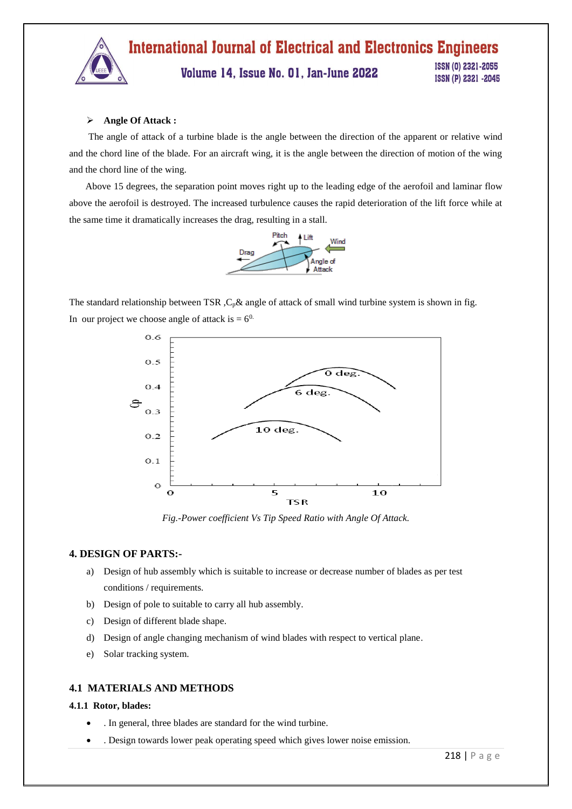#### **International Journal of Electrical and Electronics Engineers** ISSN (0) 2321-2055 Volume 14, Issue No. 01, Jan-June 2022 ISSN (P) 2321 -2045

#### **Angle Of Attack :**

 The angle of attack of a turbine blade is the angle between the direction of the apparent or relative wind and the chord line of the blade. For an aircraft wing, it is the angle between the direction of motion of the wing and the chord line of the wing.

 Above 15 degrees, the separation point moves right up to the leading edge of the aerofoil and laminar flow above the aerofoil is destroyed. The increased turbulence causes the rapid deterioration of the lift force while at the same time it dramatically increases the drag, resulting in a stall.



The standard relationship between TSR,  $C_p \&$  angle of attack of small wind turbine system is shown in fig. In our project we choose angle of attack is  $= 6^{0}$ .



*Fig.-Power coefficient Vs Tip Speed Ratio with Angle Of Attack.*

#### **4. DESIGN OF PARTS:-**

- a) Design of hub assembly which is suitable to increase or decrease number of blades as per test conditions / requirements.
- b) Design of pole to suitable to carry all hub assembly.
- c) Design of different blade shape.
- d) Design of angle changing mechanism of wind blades with respect to vertical plane.
- e) Solar tracking system.

#### **4.1 MATERIALS AND METHODS**

#### **4.1.1 Rotor, blades:**

- . In general, three blades are standard for the wind turbine.
- . Design towards lower peak operating speed which gives lower noise emission.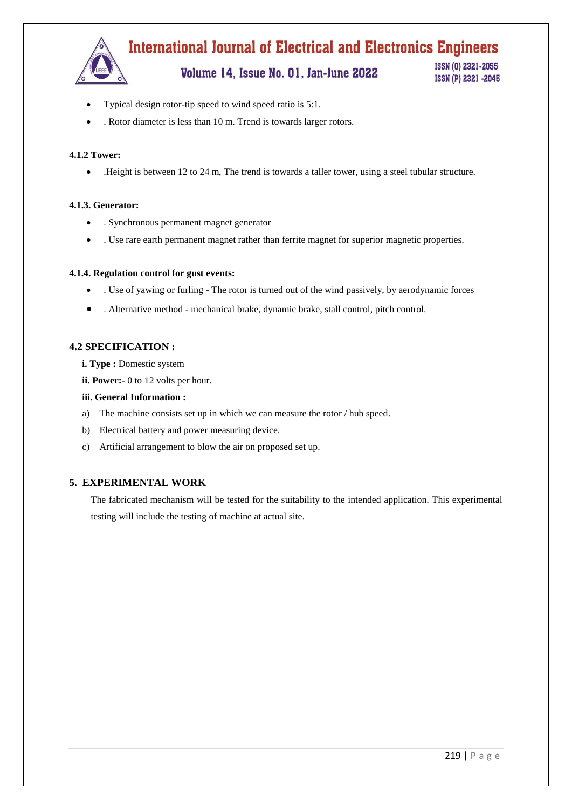

Volume 14, Issue No. 01, Jan-June 2022

ISSN (0) 2321-2055 ISSN (P) 2321 -2045

- Typical design rotor-tip speed to wind speed ratio is 5:1.
- . Rotor diameter is less than 10 m. Trend is towards larger rotors.

#### **4.1.2 Tower:**

.Height is between 12 to 24 m, The trend is towards a taller tower, using a steel tubular structure.

#### **4.1.3. Generator:**

- . Synchronous permanent magnet generator
- . Use rare earth permanent magnet rather than ferrite magnet for superior magnetic properties.

#### **4.1.4. Regulation control for gust events:**

- . Use of yawing or furling The rotor is turned out of the wind passively, by aerodynamic forces
- . Alternative method mechanical brake, dynamic brake, stall control, pitch control.

#### **4.2 SPECIFICATION :**

- **i. Type :** Domestic system
- **ii. Power:-** 0 to 12 volts per hour.
- **iii. General Information :**
- a) The machine consists set up in which we can measure the rotor / hub speed.
- b) Electrical battery and power measuring device.
- c) Artificial arrangement to blow the air on proposed set up.

#### **5. EXPERIMENTAL WORK**

The fabricated mechanism will be tested for the suitability to the intended application. This experimental testing will include the testing of machine at actual site.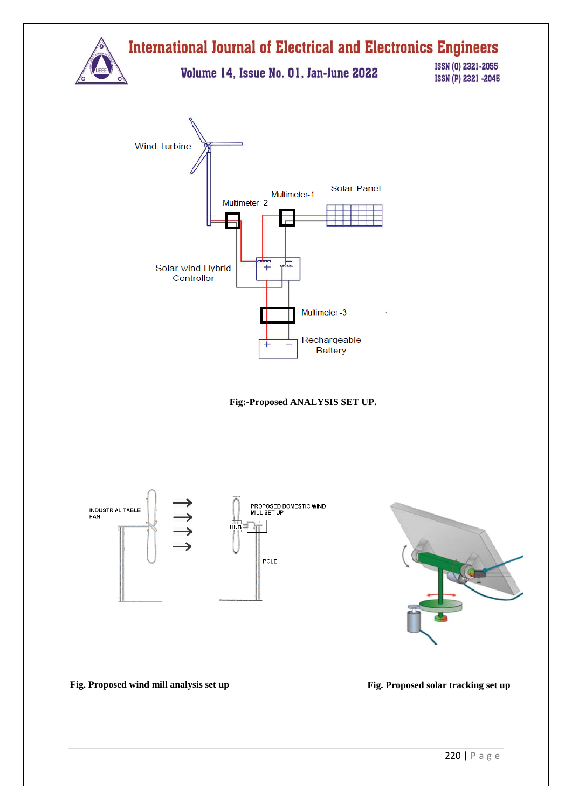

**Fig:-Proposed ANALYSIS SET UP.**



**Fig. Proposed wind mill analysis set up Fig. Proposed solar tracking set up**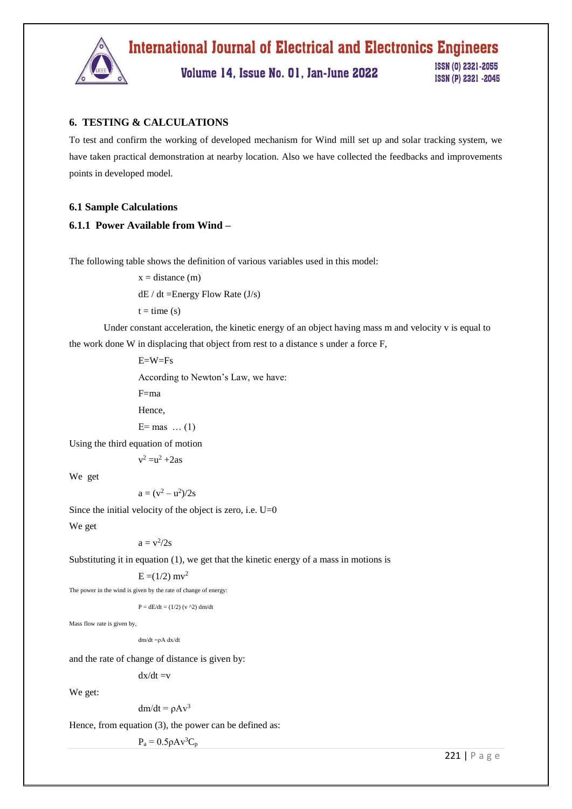

#### **6. TESTING & CALCULATIONS**

To test and confirm the working of developed mechanism for Wind mill set up and solar tracking system, we have taken practical demonstration at nearby location. Also we have collected the feedbacks and improvements points in developed model.

#### **6.1 Sample Calculations**

#### **6.1.1 Power Available from Wind –**

The following table shows the definition of various variables used in this model:

 $x = distance (m)$ 

 $dE / dt =$ Energy Flow Rate (J/s)

 $t = time(s)$ 

Under constant acceleration, the kinetic energy of an object having mass m and velocity v is equal to the work done W in displacing that object from rest to a distance s under a force F,

> E=W=Fs According to Newton's Law, we have: F=ma

Hence,

 $E=$  mas  $\dots(1)$ 

Using the third equation of motion

$$
v^2 = u^2 + 2as
$$

We get

 $a = (v^2 - u^2)/2s$ 

Since the initial velocity of the object is zero, i.e.  $U=0$ 

We get

 $a = v^2/2s$ 

Substituting it in equation (1), we get that the kinetic energy of a mass in motions is

 $E = (1/2)$  mv<sup>2</sup>

The power in the wind is given by the rate of change of energy:

 $P = dE/dt = (1/2) (v^2) dm/dt$ 

Mass flow rate is given by,

dm/dt =ρA dx/dt

and the rate of change of distance is given by:

 $dx/dt = v$ 

We get:

```
dm/dt = \rho A v^3
```
Hence, from equation (3), the power can be defined as:

 $P_a = 0.5 \rho A v^3 C_p$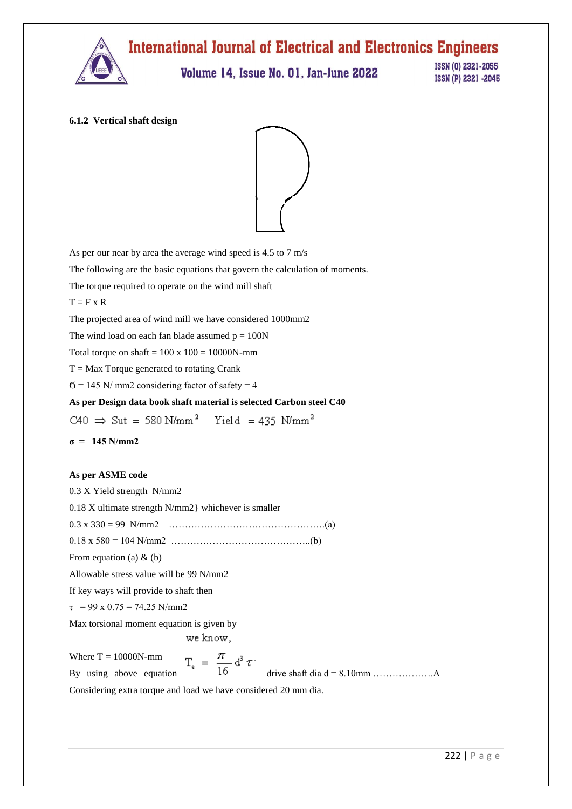

#### **6.1.2 Vertical shaft design**



As per our near by area the average wind speed is 4.5 to 7 m/s The following are the basic equations that govern the calculation of moments. The torque required to operate on the wind mill shaft  $T = F x R$ The projected area of wind mill we have considered 1000mm2 The wind load on each fan blade assumed  $p = 100N$ Total torque on shaft  $= 100 \times 100 = 10000N$ -mm  $T = Max Torque generated to rotating Crank$  $6 = 145$  N/ mm2 considering factor of safety = 4 **As per Design data book shaft material is selected Carbon steel C40**   $\text{C40} \;\Rightarrow\; \text{Sut}\; = \; 580 \; \text{N/mm}^2 \quad \ \text{Yield}\; = 435 \; \text{N/mm}^2$ **σ = 145 N/mm2 As per ASME code** 0.3 X Yield strength N/mm2 0.18 X ultimate strength N/mm2} whichever is smaller 0.3 x 330 = 99 N/mm2 ………………………………………….(a) 0.18 x 580 = 104 N/mm2 ……………………………………..(b) From equation (a)  $&$  (b) Allowable stress value will be 99 N/mm2 If key ways will provide to shaft then  $\tau$  = 99 x 0.75 = 74.25 N/mm2 Max torsional moment equation is given by we know. By using above equation drive shaft dia d = 8.10mm ……………….A Where  $T = 10000N$ -mm

Considering extra torque and load we have considered 20 mm dia.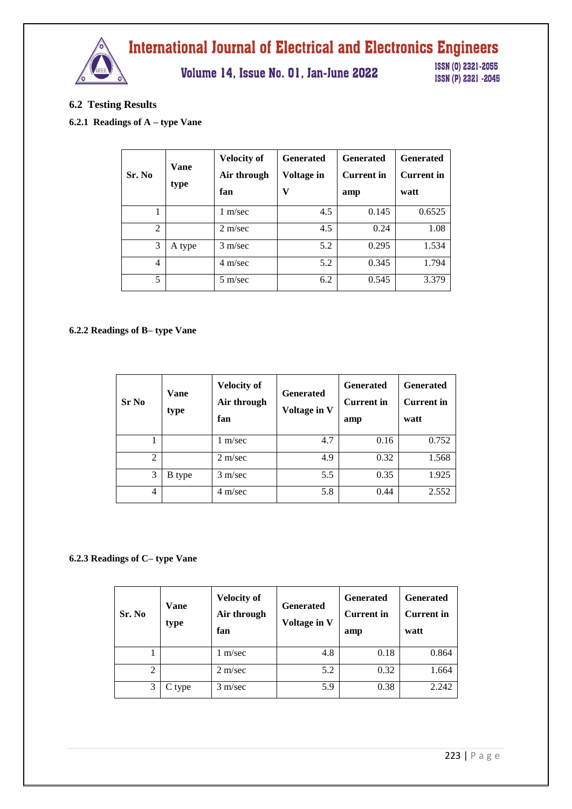

Volume 14, Issue No. 01, Jan-June 2022

ISSN (0) 2321-2055 ISSN (P) 2321 -2045

#### **6.2 Testing Results**

#### **6.2.1 Readings of A – type Vane**

| Sr. No         | <b>Vane</b><br>type | <b>Velocity of</b><br>Air through<br>fan | <b>Generated</b><br>Voltage in<br>v | <b>Generated</b><br><b>Current</b> in<br>amp | <b>Generated</b><br><b>Current</b> in<br>watt |
|----------------|---------------------|------------------------------------------|-------------------------------------|----------------------------------------------|-----------------------------------------------|
| 1              |                     | $1 \text{ m/sec}$                        | 4.5                                 | 0.145                                        | 0.6525                                        |
| $\overline{2}$ |                     | $2 \text{ m/sec}$                        | 4.5                                 | 0.24                                         | 1.08                                          |
| 3              | A type              | $3 \text{ m/sec}$                        | 5.2                                 | 0.295                                        | 1.534                                         |
| 4              |                     | $4 \text{ m/sec}$                        | 5.2                                 | 0.345                                        | 1.794                                         |
| 5              |                     | $5 \text{ m/sec}$                        | 6.2                                 | 0.545                                        | 3.379                                         |

#### **6.2.2 Readings of B– type Vane**

| <b>Sr No</b>   | Vane<br>type  | <b>Velocity of</b><br>Air through<br>fan | <b>Generated</b><br>Voltage in V | <b>Generated</b><br><b>Current</b> in<br>amp | <b>Generated</b><br><b>Current in</b><br>watt |
|----------------|---------------|------------------------------------------|----------------------------------|----------------------------------------------|-----------------------------------------------|
|                |               | 1 m/sec                                  | 4.7                              | 0.16                                         | 0.752                                         |
| $\overline{2}$ |               | $2 \text{ m/sec}$                        | 4.9                              | 0.32                                         | 1.568                                         |
| 3              | <b>B</b> type | $3 \text{ m/sec}$                        | 5.5                              | 0.35                                         | 1.925                                         |
| 4              |               | $4 \text{ m/sec}$                        | 5.8                              | 0.44                                         | 2.552                                         |

#### **6.2.3 Readings of C– type Vane**

| Sr. No         | Vane<br>type | <b>Velocity of</b><br>Air through<br>fan | <b>Generated</b><br>Voltage in V | <b>Generated</b><br><b>Current</b> in<br>amp | <b>Generated</b><br><b>Current in</b><br>watt |
|----------------|--------------|------------------------------------------|----------------------------------|----------------------------------------------|-----------------------------------------------|
|                |              | m/sec                                    | 4.8                              | 0.18                                         | 0.864                                         |
| $\overline{c}$ |              | $2 \text{ m/sec}$                        | 5.2                              | 0.32                                         | 1.664                                         |
| 3              | C type       | $3 \text{ m/sec}$                        | 5.9                              | 0.38                                         | 2.242                                         |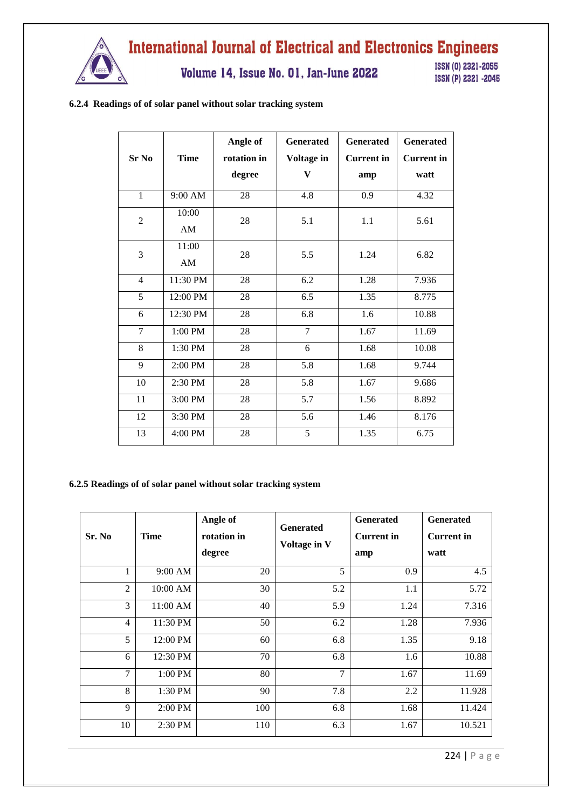

Volume 14, Issue No. 01, Jan-June 2022

ISSN (0) 2321-2055 ISSN (P) 2321 -2045

#### **6.2.4 Readings of of solar panel without solar tracking system**

| Sr No          | <b>Time</b> | Angle of<br>rotation in<br>degree | <b>Generated</b><br>Voltage in<br>V | <b>Generated</b><br><b>Current</b> in<br>amp | <b>Generated</b><br><b>Current</b> in<br>watt |
|----------------|-------------|-----------------------------------|-------------------------------------|----------------------------------------------|-----------------------------------------------|
| $\mathbf{1}$   | 9:00 AM     | 28                                | 4.8                                 | 0.9                                          | 4.32                                          |
| $\overline{2}$ | 10:00<br>AM | 28                                | 5.1                                 | 1.1                                          | 5.61                                          |
| 3              | 11:00<br>AM | 28                                | 5.5                                 | 1.24                                         | 6.82                                          |
| $\overline{4}$ | 11:30 PM    | 28                                | 6.2                                 | 1.28                                         | 7.936                                         |
| 5              | 12:00 PM    | 28                                | 6.5                                 | 1.35                                         | 8.775                                         |
| 6              | 12:30 PM    | 28                                | 6.8                                 | 1.6                                          | 10.88                                         |
| $\overline{7}$ | 1:00 PM     | 28                                | $\overline{7}$                      | 1.67                                         | 11.69                                         |
| 8              | 1:30 PM     | 28                                | 6                                   | 1.68                                         | 10.08                                         |
| $\overline{9}$ | 2:00 PM     | $\overline{28}$                   | $\overline{5.8}$                    | 1.68                                         | 9.744                                         |
| 10             | 2:30 PM     | 28                                | 5.8                                 | 1.67                                         | 9.686                                         |
| 11             | 3:00 PM     | 28                                | 5.7                                 | 1.56                                         | 8.892                                         |
| 12             | 3:30 PM     | 28                                | 5.6                                 | 1.46                                         | 8.176                                         |
| 13             | 4:00 PM     | 28                                | 5                                   | 1.35                                         | 6.75                                          |

#### **6.2.5 Readings of of solar panel without solar tracking system**

| Sr. No         | <b>Time</b> | Angle of<br>rotation in<br>degree | <b>Generated</b><br>Voltage in V | <b>Generated</b><br><b>Current</b> in<br>amp | <b>Generated</b><br><b>Current</b> in<br>watt |
|----------------|-------------|-----------------------------------|----------------------------------|----------------------------------------------|-----------------------------------------------|
| 1              | 9:00 AM     | 20                                | 5                                | 0.9                                          | 4.5                                           |
| $\overline{2}$ | 10:00 AM    | 30                                | 5.2                              | 1.1                                          | 5.72                                          |
| 3              | $11:00$ AM  | 40                                | 5.9                              | 1.24                                         | 7.316                                         |
| $\overline{4}$ | 11:30 PM    | 50                                | 6.2                              | 1.28                                         | 7.936                                         |
| 5              | 12:00 PM    | 60                                | 6.8                              | 1.35                                         | 9.18                                          |
| 6              | 12:30 PM    | 70                                | 6.8                              | 1.6                                          | 10.88                                         |
| 7              | 1:00 PM     | 80                                | 7                                | 1.67                                         | 11.69                                         |
| 8              | 1:30 PM     | 90                                | 7.8                              | 2.2                                          | 11.928                                        |
| 9              | 2:00 PM     | 100                               | 6.8                              | 1.68                                         | 11.424                                        |
| 10             | $2:30$ PM   | 110                               | 6.3                              | 1.67                                         | 10.521                                        |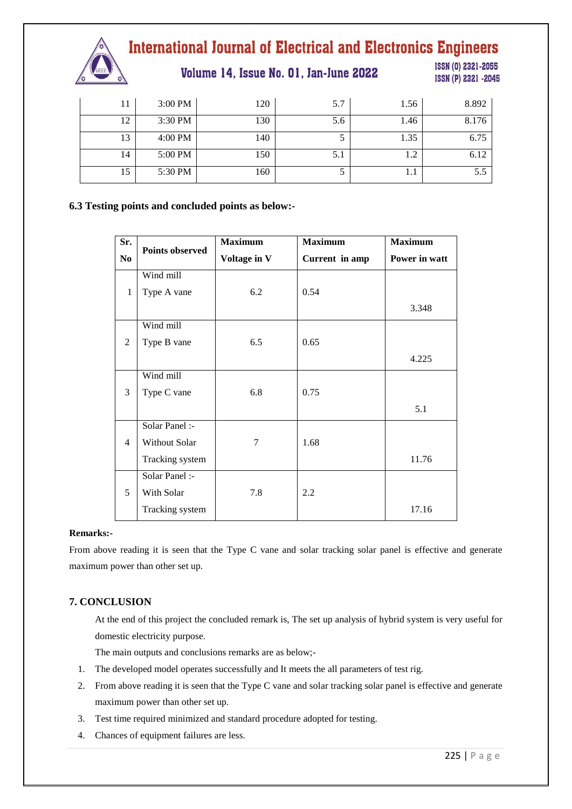

Volume 14, Issue No. 01, Jan-June 2022

ISSN (0) 2321-2055 ISSN (P) 2321 -2045

| 11 | 3:00 PM | 120 | 5.7 | 1.56 | 8.892 |
|----|---------|-----|-----|------|-------|
| 12 | 3:30 PM | 130 | 5.6 | 1.46 | 8.176 |
| 13 | 4:00 PM | 140 |     | 1.35 | 6.75  |
| 14 | 5:00 PM | 150 | 5.1 | 1.2  | 6.12  |
| 15 | 5:30 PM | 160 |     | 1.1  | 5.5   |

#### **6.3 Testing points and concluded points as below:-**

| Sr.            | <b>Points observed</b> | <b>Maximum</b>                 | <b>Maximum</b> | <b>Maximum</b> |
|----------------|------------------------|--------------------------------|----------------|----------------|
| N <sub>0</sub> |                        | Voltage in V<br>Current in amp |                | Power in watt  |
|                | Wind mill              |                                |                |                |
| $\mathbf{1}$   | Type A vane            | 6.2                            | 0.54           |                |
|                |                        |                                |                | 3.348          |
|                | Wind mill              |                                |                |                |
| $\overline{2}$ | Type B vane            | 6.5                            | 0.65           |                |
|                |                        |                                |                | 4.225          |
|                | Wind mill              |                                |                |                |
| 3              | Type C vane            | 6.8                            | 0.75           |                |
|                |                        |                                |                | 5.1            |
|                | Solar Panel :-         |                                |                |                |
| $\overline{4}$ | Without Solar          | 7                              | 1.68           |                |
|                | Tracking system        |                                |                | 11.76          |
|                | Solar Panel :-         |                                |                |                |
| 5              | With Solar             | 7.8                            | 2.2            |                |
|                | Tracking system        |                                |                | 17.16          |

#### **Remarks:-**

From above reading it is seen that the Type C vane and solar tracking solar panel is effective and generate maximum power than other set up.

#### **7. CONCLUSION**

At the end of this project the concluded remark is, The set up analysis of hybrid system is very useful for domestic electricity purpose.

The main outputs and conclusions remarks are as below;-

- 1. The developed model operates successfully and It meets the all parameters of test rig.
- 2. From above reading it is seen that the Type C vane and solar tracking solar panel is effective and generate maximum power than other set up.
- 3. Test time required minimized and standard procedure adopted for testing.
- 4. Chances of equipment failures are less.